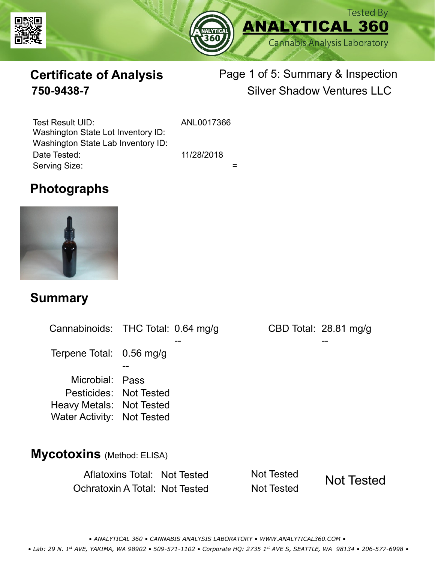



# **Certificate of Analysis**

# Page 1 of 5: Summary & Inspection **750-9438-7** Silver Shadow Ventures LLC

Serving Size:  $=$ Test Result UID: ANL0017366 Date Tested: 11/28/2018 Washington State Lot Inventory ID: Washington State Lab Inventory ID:

## **Photographs**



#### **Summary**

Cannabinoids: THC Total: 0.64 mg/g Terpene Total: Microbial: Pass CBD Total: 28.81 mg/g 0.56 mg/g Pesticides: Not Tested Heavy Metals: Not Tested -- -- -- Water Activity: Not Tested **Mycotoxins** (Method: ELISA)

> Aflatoxins Total: Not Tested Not Tested Ochratoxin A Total: Not Tested Not Tested Not Tested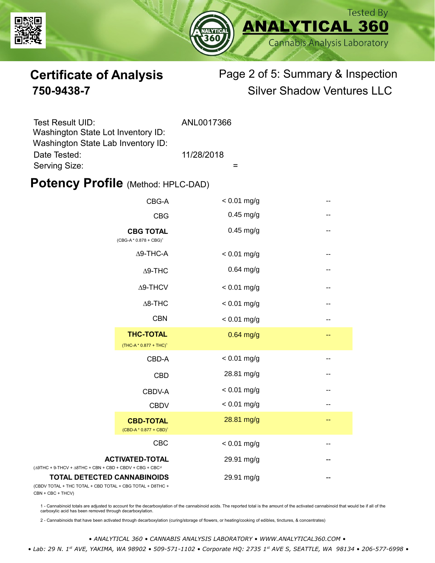



# **Certificate of Analysis** Page 2 of 5: Summary & Inspection **750-9438-7** Silver Shadow Ventures LLC

| Test Result UID:                   | ANL0017366 |
|------------------------------------|------------|
| Washington State Lot Inventory ID: |            |
| Washington State Lab Inventory ID: |            |
| Date Tested:                       | 11/28/2018 |
| Serving Size:                      |            |

#### **Potency Profile (Method: HPLC-DAD)**

|                                                                                           | CBG-A                                                  | $< 0.01$ mg/g |     |
|-------------------------------------------------------------------------------------------|--------------------------------------------------------|---------------|-----|
|                                                                                           | <b>CBG</b>                                             | $0.45$ mg/g   | --  |
|                                                                                           | <b>CBG TOTAL</b><br>$(CBG-A * 0.878 + CBG)^1$          | $0.45$ mg/g   | --  |
|                                                                                           | $\Delta$ 9-THC-A                                       | $< 0.01$ mg/g |     |
|                                                                                           | $\Delta$ 9-THC                                         | $0.64$ mg/g   | --  |
|                                                                                           | $\Delta$ 9-THCV                                        | $< 0.01$ mg/g | --  |
|                                                                                           | $\Delta$ 8-THC                                         | $< 0.01$ mg/g |     |
|                                                                                           | <b>CBN</b>                                             | $< 0.01$ mg/g | --  |
|                                                                                           | <b>THC-TOTAL</b><br>(THC-A * 0.877 + THC) <sup>1</sup> | $0.64$ mg/g   | --  |
|                                                                                           | CBD-A                                                  | $< 0.01$ mg/g | --  |
|                                                                                           | <b>CBD</b>                                             | 28.81 mg/g    | --  |
|                                                                                           | CBDV-A                                                 | $< 0.01$ mg/g | $-$ |
|                                                                                           | <b>CBDV</b>                                            | $< 0.01$ mg/g | --  |
|                                                                                           | <b>CBD-TOTAL</b><br>$(CBD-A * 0.877 + CBD)^1$          | 28.81 mg/g    | --  |
|                                                                                           | <b>CBC</b>                                             | $< 0.01$ mg/g | --  |
| + 9-THCV + $\triangle$ 8THC + CBN + CBD + CBDV + CBG + CBC <sup><math>/2</math></sup>     | <b>ACTIVATED-TOTAL</b>                                 | 29.91 mg/g    |     |
| <b>TOTAL DETECTED CANNABINOIDS</b><br>TOTAL + THC TOTAL + CBD TOTAL + CBG TOTAL + D8THC + |                                                        | 29.91 mg/g    |     |

(CBDV TOTAL + THC TOTAL CBN + CBC + THCV)

(∆9THC + 9-THCV + ∆8THC

1 - Cannabinoid totals are adjusted to account for the decarboxylation of the cannabinoid acids. The reported total is the amount of the activated cannabinoid that would be if all of the<br>carboxylic acid has been removed th

2 - Cannabinoids that have been activated through decarboxylation (curing/storage of flowers, or heating/cooking of edibles, tinctures, & concentrates)

*• ANALYTICAL 360 • CANNABIS ANALYSIS LABORATORY • WWW.ANALYTICAL360.COM •*

 *• Lab: 29 N. 1st AVE, YAKIMA, WA 98902 • 509-571-1102 • Corporate HQ: 2735 1st AVE S, SEATTLE, WA 98134 • 206-577-6998 •*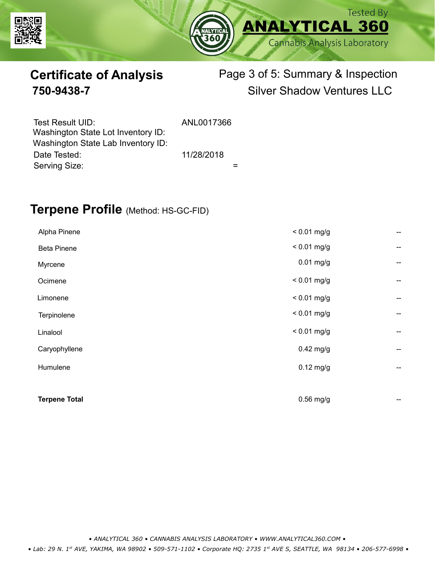



# **Certificate of Analysis** Page 3 of 5: Summary & Inspection **750-9438-7** Silver Shadow Ventures LLC

| Test Result UID:<br>Washington State Lot Inventory ID: | ANL0017366 |
|--------------------------------------------------------|------------|
| Washington State Lab Inventory ID:                     |            |
| Date Tested:                                           | 11/28/2018 |
| Serving Size:                                          |            |

### **Terpene Profile** (Method: HS-GC-FID)

| Alpha Pinene         | $< 0.01$ mg/g | --                       |
|----------------------|---------------|--------------------------|
| <b>Beta Pinene</b>   | $< 0.01$ mg/g | --                       |
| Myrcene              | $0.01$ mg/g   | --                       |
| Ocimene              | $< 0.01$ mg/g | --                       |
| Limonene             | $< 0.01$ mg/g | --                       |
| Terpinolene          | $< 0.01$ mg/g | --                       |
| Linalool             | $< 0.01$ mg/g | $\overline{\phantom{a}}$ |
| Caryophyllene        | $0.42$ mg/g   | --                       |
| Humulene             | $0.12$ mg/g   | --                       |
|                      |               |                          |
| <b>Terpene Total</b> | $0.56$ mg/g   | --                       |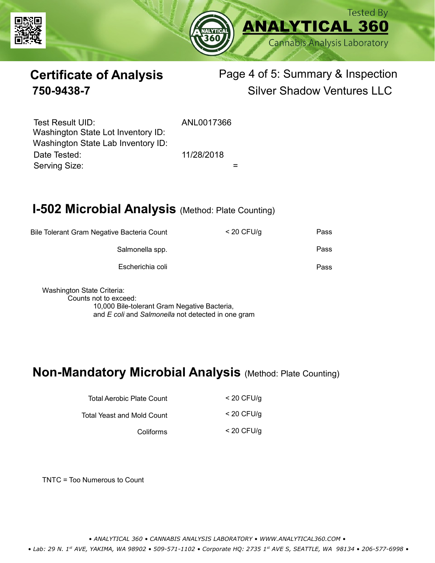



# **Certificate of Analysis** Page 4 of 5: Summary & Inspection **750-9438-7** Silver Shadow Ventures LLC

Serving Size:  $=$ Test Result UID: ANL0017366 Date Tested: 11/28/2018 Washington State Lot Inventory ID: Washington State Lab Inventory ID:

# **I-502 Microbial Analysis (Method: Plate Counting)**

| Bile Tolerant Gram Negative Bacteria Count |                  | $<$ 20 CFU/g | Pass |
|--------------------------------------------|------------------|--------------|------|
|                                            | Salmonella spp.  |              | Pass |
|                                            | Escherichia coli |              | Pass |
|                                            |                  |              |      |

Washington State Criteria: Counts not to exceed: 10,000 Bile-tolerant Gram Negative Bacteria, and *E coli* and *Salmonella* not detected in one gram

### **Non-Mandatory Microbial Analysis** (Method: Plate Counting)

| Total Aerobic Plate Count  | $<$ 20 CFU/g |
|----------------------------|--------------|
| Total Yeast and Mold Count | $<$ 20 CFU/g |
| Coliforms                  | $<$ 20 CFU/g |

TNTC = Too Numerous to Count

*• ANALYTICAL 360 • CANNABIS ANALYSIS LABORATORY • WWW.ANALYTICAL360.COM •*